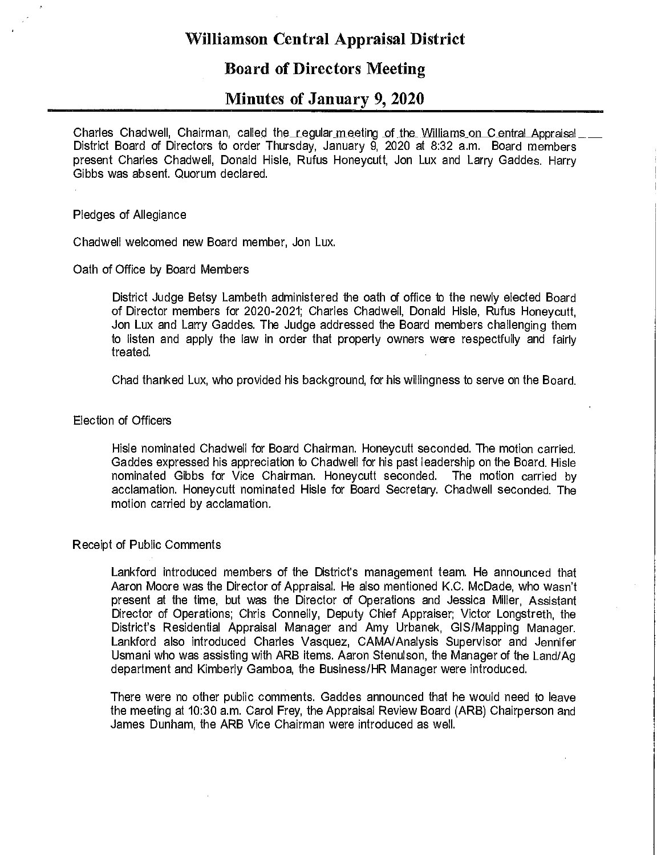# **Williamson Central Appraisal District**

## **Board of Directors Meeting**

## **Minutes of January 9, 2020**

Charles Chadwell, Chairman, called the regular meeting of the Williams on Central Appraisal  $\equiv$ District Board of Directors to order Thursday, January 9, 2020 at 8:32 a.m. Board members present Charles Chadwell, Donald Hisle, Rufus Honeycutt, Jon Lux and Larry Gaddes. Harry Gibbs was absent. Quorum declared.

### Pledges of Allegiance

Chadwell welcomed new Board member, Jon Lux.

#### Oath of Office by Board Members

District Judge Betsy Lambeth administered the oath of office to the newly elected Board of Director members for 2020-2021; Charles Chadwell, Donald Hisle, Rufus Honeycutt, Jon Lux and Larry Gaddes. The Judge addressed the Board members challenging them to listen and apply the law in order that property owners were respectfully and fairly treated.

Chad thanked Lux, who provided his background, for his willingness to serve on the Board.

#### Election of Officers

Hisle nominated Chadwell for Board Chairman. Honeycutt seconded. The motion carried. Gaddes expressed his appreciation to Chadwell for his past leadership on the Board. Hisle nominated Gibbs for Vice Chairman. Honeycutt seconded. The motion carried by acclamation. Honeycutt nominated Hisle for Board Secretary. Chadwell seconded. The motion carried by acclamation.

#### Receipt of Public Comments

Lankford introduced members of the District's management team. He announced that Aaron Moore was the Director of Appraisal. He also mentioned K.C. McDade, who wasn't present at the time, but was the Director of Operations and Jessica Miller, Assistant Director of Operations; Chris Connelly, Deputy Chief Appraiser; Victor Longstreth, the District's Residential Appraisal Manager and Amy Urbanek, GIS/Mapping Manager. Lankford also introduced Charles Vasquez, CAMNAnalysis Supervisor and Jennifer Usmani who was assisting with ARB items. Aaron Stenulson, the Manager of the Land/Ag department and Kimberly Gamboa, the Business/HR Manager were introduced.

There were no other public comments. Gaddes announced that he would need to leave the meeting at 10:30 a.m. Carol Frey, the Appraisal Review Board (ARB) Chairperson and James Dunham, the ARB Vice Chairman were introduced as well.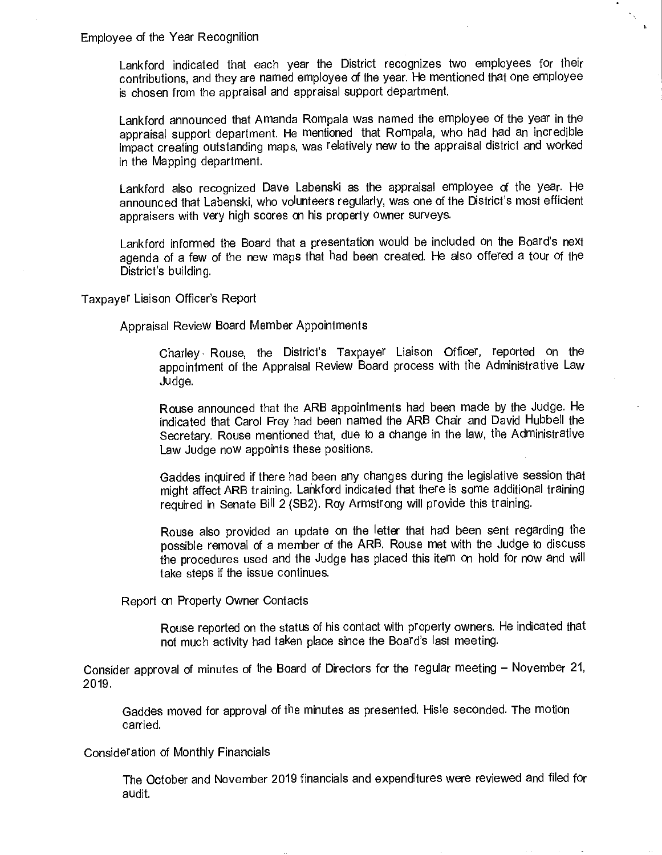Employee of the Year Recognition

Lankford indicated that each year the District recognizes two employees for their contributions, and they are named employee of the year. He mentioned that one employee is chosen from the appraisal and appraisal support department.

Lankford announced that Amanda Rompala was named the employee of the year in the appraisal support department. He mentioned that Rompala, who had had an incredible impact creating outstanding maps, was relatively new to the appraisal district and worked in the Mapping department.

Lankford also recognized Dave Labenski as the appraisal employee of the year. He announced that Labenski, who volunteers regularly, was one of the District's most efficient appraisers with very high scores on his property owner surveys.

Lankford informed the Board that a presentation would be included on the Board's next agenda of a few of the new maps that had been created. He also offered a tour of the District's building.

Taxpayer Liaison Officer's Report

Appraisal Review Board Member Appointments

Charley Rouse, the District's Taxpayer Liaison Officer, reported on the appointment of the Appraisal Review Board process with the Administrative Law Judge.

Rouse announced that the ARB appointments had been made by the Judge. He indicated that Carol Frey had been named the ARB Chair and David Hubbell the Secretary. Rouse mentioned that, due to a change in the law, the Administrative Law Judge now appoints these positions.

Gaddes inquired if there had been any changes during the legislative session that might affect ARB training. Lankford indicated that there is some additional training required in Senate Bill 2 (SB2). Roy Armstrong will provide this training.

Rouse also provided an update on the letter that had been sent regarding the possible removal of a member of the ARB. Rouse met with the Judge to discuss the procedures used and the Judge has placed this item on hold for now and will take steps if the issue continues.

Report on Property Owner Contacts

Rouse reported on the status of his contact with property owners. He indicated that not much activity had taken place since the Board's last meeting.

Consider approval of minutes of the Board of Directors for the regular meeting - November 21, 2019.

Gaddes moved for approval of the minutes as presented. Hisle seconded. The motion carried.

#### Consideration of Monthly Financials

The October and November 2019 financials and expenditures were reviewed and filed for audit.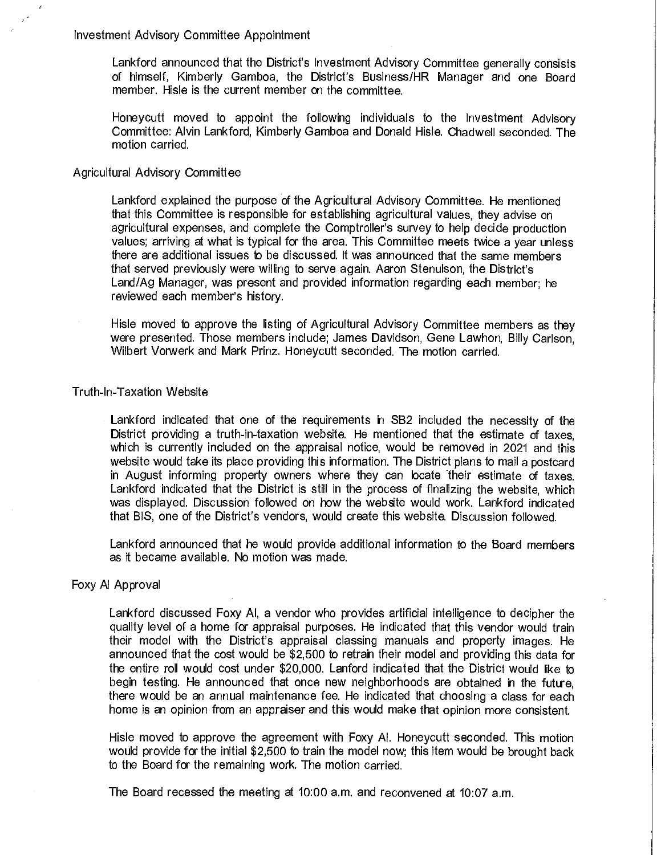Investment Advisory Committee Appointment

Lankford announced that the District's Investment Advisory Committee generally consists of himself, Kimberly Gamboa, the District's Business/HR Manager and one Board member. Hisle is the current member on the committee.

Honeycutt moved to appoint the following individuals to the Investment Advisory Committee: Alvin Lankford, Kimberly Gamboa and Donald Hisle. Chadwell seconded. The motion carried.

### Agricultural Advisory Committee

Lankford explained the purpose of the Agricultural Advisory Committee. He mentioned that this Committee is responsible for establishing agricultural values, they advise on agricultural expenses, and complete the Comptroller's survey to help decide production values; arriving at what is typical for the area. This Committee meets twice a year unless there are additional issues to be discussed. It was announced that the same members that served previously were willing to serve again. Aaron Stenulson, the District's Land/Ag Manager, was present and provided information regarding each member; he reviewed each member's history.

Hisle moved to approve the listing of Agricultural Advisory Committee members as they were presented. Those members include; James Davidson, Gene Lawhon, Billy Carlson, Wilbert Vorwerk and Mark Prinz. Honeycutt seconded. The motion carried.

#### Truth-In-Taxation Website

Lankford indicated that one of the requirements in SB2 included the necessity of the District providing a truth-in-taxation website. He mentioned that the estimate of taxes, which is currently included on the appraisal notice, would be removed in 2021 and this website would take its place providing this information. The District plans to mail a postcard in August informing property owners where they can locate their estimate of taxes. Lankford indicated that the District is still in the process of finalizing the website, which was displayed. Discussion followed on how the website would work. Lankford indicated that BIS, one of the District's vendors, would create this website. Discussion followed.

Lankford announced that he would provide additional information to the Board members as it became available. No motion was made.

#### Foxy Al Approval

Lankford discussed Foxy Al, a vendor who provides artificial intelligence to decipher the quality level of a home for appraisal purposes. He indicated that this vendor would train their model with the District's appraisal classing manuals and property images. He announced that the cost would be \$2,500 to retrain their model and providing this data for the entire roll would cost under \$20,000. Lanford indicated that the District would like to begin testing. He announced that once new neighborhoods are obtained in the future, there would be an annual maintenance fee. He indicated that choosing a class for each home is an opinion from an appraiser and this would make that opinion more consistent.

Hisle moved to approve the agreement with Foxy Al. Honeycutt seconded. This motion would provide for the initial \$2,500 to train the model now; this item would be brought back to the Board for the remaining work. The motion carried.

The Board recessed the meeting at 10:00 a.m. and reconvened at 10:07 a.m.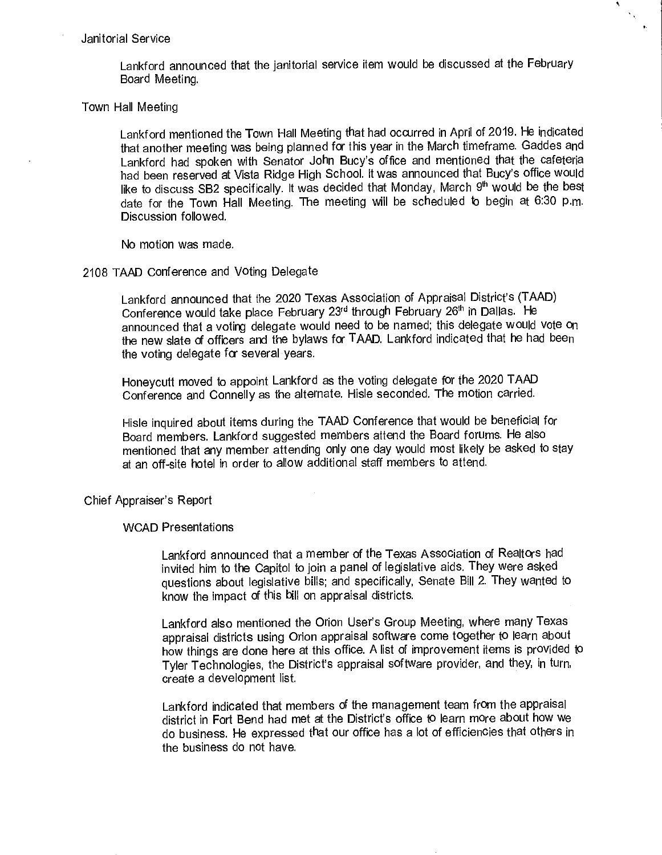#### Janitorial Service

Lankford announced that the janitorial service item would be discussed at the February Board Meeting.

•,  $\mathcal{N}_{\mathcal{K}}$ 

#### Town Hall Meeting

Lankford mentioned the Town Hall Meeting that had occurred in April of 2019. He indicated that another meeting was being planned for this year in the March timeframe. Gaddes and Lankford had spoken with Senator John Bucy's office and mentioned that the cafeteria had been reserved at Vista Ridge High School. It was announced that Bucy's office would like to discuss SB2 specifically. It was decided that Monday, March  $9<sup>th</sup>$  would be the best date for the Town Hall Meeting. The meeting will be scheduled to begin at 6:30 p.m. Discussion followed.

No motion was made.

#### 2108 TAAD Conference and Voting Delegate

Lankford announced that the 2020 Texas Association of Appraisal District's (TAAD) Conference would take place February 23rd through February 26'h in Dallas. He announced that a voting delegate would need to be named; this delegate would vote on the new slate of officers and the bylaws for TAAD. Lankford indicated that he had been the voting delegate for several years.

Honeycutt moved to appoint Lankford as the voting delegate for the 2020 TAAD Conference and Connelly as the alternate. Hisle seconded. The motion carried.

Hisle inquired about items during the TAAD Conference that would be beneficial for Board members. Lankford suggested members attend the Board forums. He also mentioned that any member attending only one day would most likely be asked to stay at an off-site hotel in order to allow additional staff members to attend.

Chief Appraiser's Report

#### WCAD Presentations

Lankford announced that a member of the Texas Association of Realtors had invited him to the Capitol to join a panel of legislative aids. They were asked questions about legislative bills; and specifically, Senate Bill 2. They wanted to know the impact of this bill on appraisal districts.

Lankford also mentioned the Orion User's Group Meeting, where many Texas appraisal districts using Orion appraisal software come together to learn about how things are done here at this office. A list of improvement items is provided to Tyler Technologies, the District's appraisal software provider, and they, in turn, create a development list.

Lankford indicated that members of the management team from the appraisal district in Fort Bend had met at the District's office to learn more about how we do business. He expressed that our office has a lot of efficiencies that others in the business do not have.